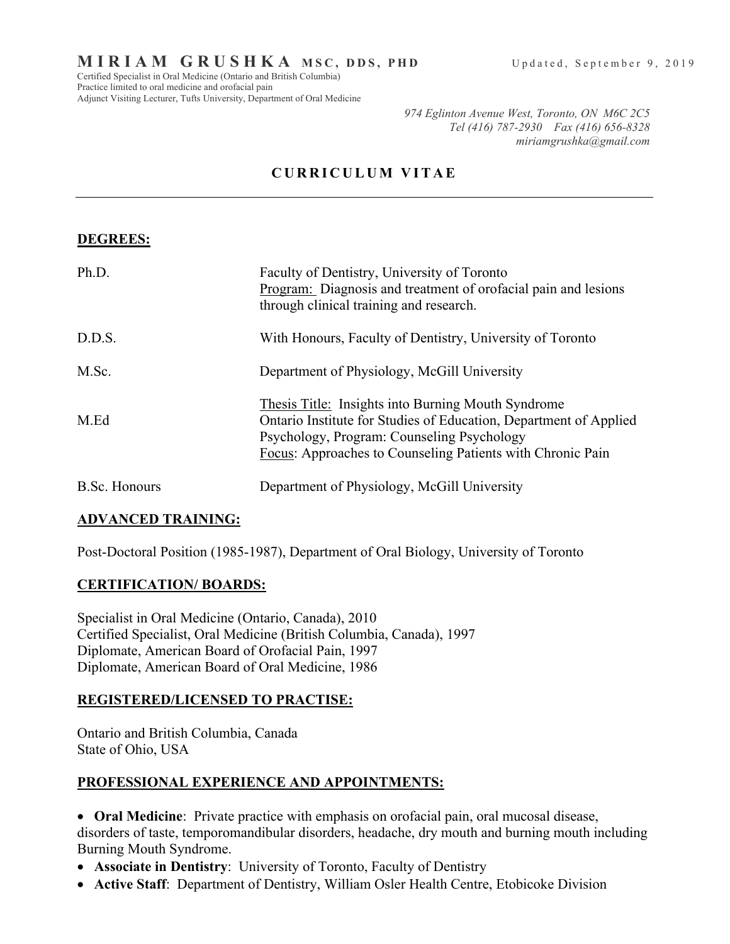Practice limited to oral medicine and orofacial pain Adjunct Visiting Lecturer, Tufts University, Department of Oral Medicine

*974 Eglinton Avenue West, Toronto, ON M6C 2C5 Tel (416) 787-2930 Fax (416) 656-8328 miriamgrushka@gmail.com*

# **CURRICULUM VITAE**

## **DEGREES:**

| Ph.D.         | Faculty of Dentistry, University of Toronto<br>Program: Diagnosis and treatment of orofacial pain and lesions<br>through clinical training and research.                                                                            |
|---------------|-------------------------------------------------------------------------------------------------------------------------------------------------------------------------------------------------------------------------------------|
| D.D.S.        | With Honours, Faculty of Dentistry, University of Toronto                                                                                                                                                                           |
| M.Sc.         | Department of Physiology, McGill University                                                                                                                                                                                         |
| M.Ed          | Thesis Title: Insights into Burning Mouth Syndrome<br>Ontario Institute for Studies of Education, Department of Applied<br>Psychology, Program: Counseling Psychology<br>Focus: Approaches to Counseling Patients with Chronic Pain |
| B.Sc. Honours | Department of Physiology, McGill University                                                                                                                                                                                         |

### **ADVANCED TRAINING:**

Post-Doctoral Position (1985-1987), Department of Oral Biology, University of Toronto

### **CERTIFICATION/ BOARDS:**

Specialist in Oral Medicine (Ontario, Canada), 2010 Certified Specialist, Oral Medicine (British Columbia, Canada), 1997 Diplomate, American Board of Orofacial Pain, 1997 Diplomate, American Board of Oral Medicine, 1986

### **REGISTERED/LICENSED TO PRACTISE:**

Ontario and British Columbia, Canada State of Ohio, USA

## **PROFESSIONAL EXPERIENCE AND APPOINTMENTS:**

• **Oral Medicine**: Private practice with emphasis on orofacial pain, oral mucosal disease, disorders of taste, temporomandibular disorders, headache, dry mouth and burning mouth including Burning Mouth Syndrome.

- **Associate in Dentistry**: University of Toronto, Faculty of Dentistry
- **Active Staff**: Department of Dentistry, William Osler Health Centre, Etobicoke Division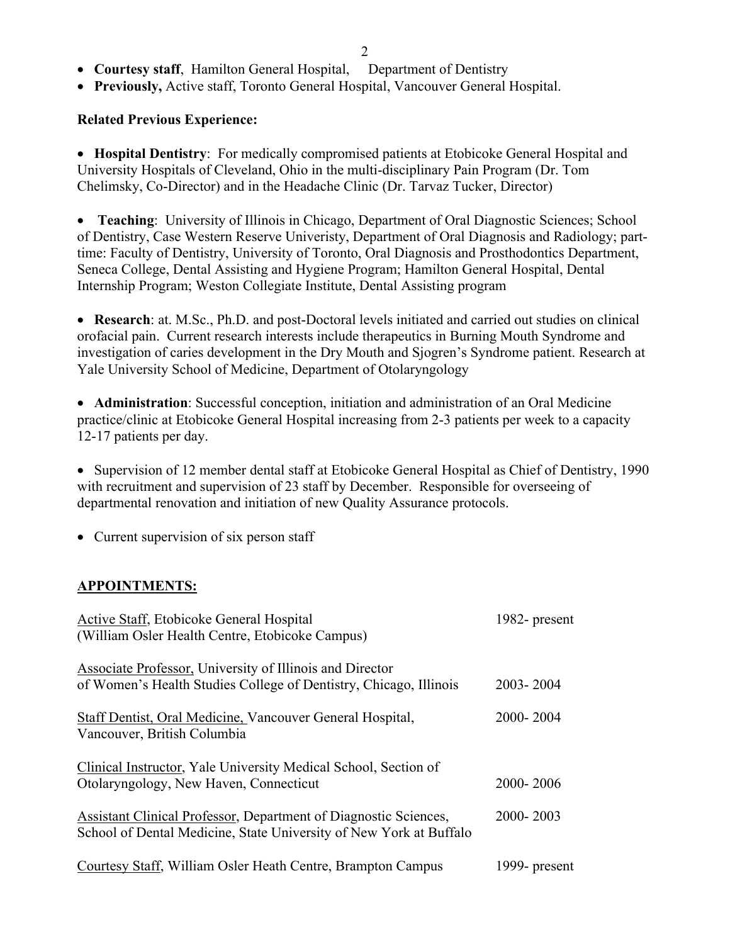2

- **Courtesy staff**, Hamilton General Hospital, Department of Dentistry
- **Previously,** Active staff, Toronto General Hospital, Vancouver General Hospital.

#### **Related Previous Experience:**

• **Hospital Dentistry**: For medically compromised patients at Etobicoke General Hospital and University Hospitals of Cleveland, Ohio in the multi-disciplinary Pain Program (Dr. Tom Chelimsky, Co-Director) and in the Headache Clinic (Dr. Tarvaz Tucker, Director)

• **Teaching**: University of Illinois in Chicago, Department of Oral Diagnostic Sciences; School of Dentistry, Case Western Reserve Univeristy, Department of Oral Diagnosis and Radiology; parttime: Faculty of Dentistry, University of Toronto, Oral Diagnosis and Prosthodontics Department, Seneca College, Dental Assisting and Hygiene Program; Hamilton General Hospital, Dental Internship Program; Weston Collegiate Institute, Dental Assisting program

• **Research**: at. M.Sc., Ph.D. and post-Doctoral levels initiated and carried out studies on clinical orofacial pain. Current research interests include therapeutics in Burning Mouth Syndrome and investigation of caries development in the Dry Mouth and Sjogren's Syndrome patient. Research at Yale University School of Medicine, Department of Otolaryngology

• **Administration**: Successful conception, initiation and administration of an Oral Medicine practice/clinic at Etobicoke General Hospital increasing from 2-3 patients per week to a capacity 12-17 patients per day.

• Supervision of 12 member dental staff at Etobicoke General Hospital as Chief of Dentistry, 1990 with recruitment and supervision of 23 staff by December. Responsible for overseeing of departmental renovation and initiation of new Quality Assurance protocols.

• Current supervision of six person staff

### **APPOINTMENTS:**

| Active Staff, Etobicoke General Hospital<br>(William Osler Health Centre, Etobicoke Campus)                                            | 1982- present |
|----------------------------------------------------------------------------------------------------------------------------------------|---------------|
| Associate Professor, University of Illinois and Director<br>of Women's Health Studies College of Dentistry, Chicago, Illinois          | 2003-2004     |
| Staff Dentist, Oral Medicine, Vancouver General Hospital,<br>Vancouver, British Columbia                                               | 2000-2004     |
| Clinical Instructor, Yale University Medical School, Section of<br>Otolaryngology, New Haven, Connecticut                              | 2000-2006     |
| Assistant Clinical Professor, Department of Diagnostic Sciences,<br>School of Dental Medicine, State University of New York at Buffalo | 2000-2003     |
| Courtesy Staff, William Osler Heath Centre, Brampton Campus                                                                            | 1999- present |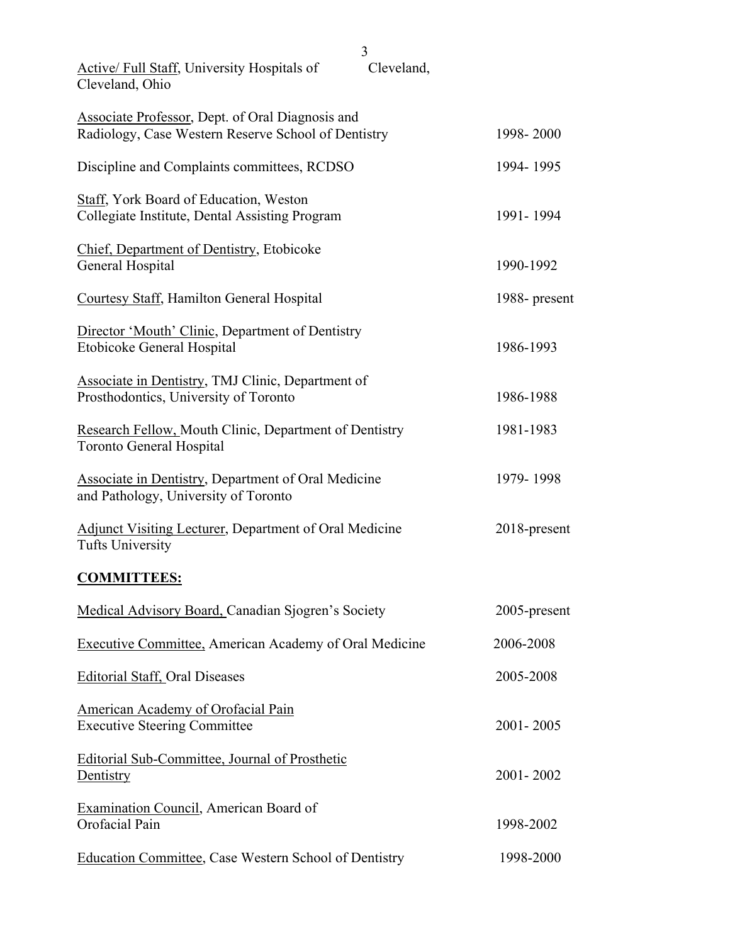| <b>Active/ Full Staff, University Hospitals of</b><br>Cleveland, Ohio                                   | 3<br>Cleveland, |               |
|---------------------------------------------------------------------------------------------------------|-----------------|---------------|
| Associate Professor, Dept. of Oral Diagnosis and<br>Radiology, Case Western Reserve School of Dentistry |                 | 1998-2000     |
| Discipline and Complaints committees, RCDSO                                                             |                 | 1994-1995     |
| <b>Staff, York Board of Education, Weston</b><br>Collegiate Institute, Dental Assisting Program         |                 | 1991-1994     |
| <b>Chief, Department of Dentistry, Etobicoke</b><br>General Hospital                                    |                 | 1990-1992     |
| Courtesy Staff, Hamilton General Hospital                                                               |                 | 1988- present |
| Director 'Mouth' Clinic, Department of Dentistry<br>Etobicoke General Hospital                          |                 | 1986-1993     |
| Associate in Dentistry, TMJ Clinic, Department of<br>Prosthodontics, University of Toronto              |                 | 1986-1988     |
| Research Fellow, Mouth Clinic, Department of Dentistry<br><b>Toronto General Hospital</b>               |                 | 1981-1983     |
| <b>Associate in Dentistry, Department of Oral Medicine</b><br>and Pathology, University of Toronto      |                 | 1979-1998     |
| <b>Adjunct Visiting Lecturer, Department of Oral Medicine</b><br><b>Tufts University</b>                |                 | 2018-present  |
| <b>COMMITTEES:</b>                                                                                      |                 |               |
| Medical Advisory Board, Canadian Sjogren's Society                                                      |                 | 2005-present  |
| <b>Executive Committee, American Academy of Oral Medicine</b>                                           |                 | 2006-2008     |
| <b>Editorial Staff, Oral Diseases</b>                                                                   |                 | 2005-2008     |
| American Academy of Orofacial Pain<br><b>Executive Steering Committee</b>                               |                 | 2001-2005     |
| Editorial Sub-Committee, Journal of Prosthetic<br>Dentistry                                             |                 | 2001-2002     |
| <b>Examination Council, American Board of</b><br>Orofacial Pain                                         |                 | 1998-2002     |
| Education Committee, Case Western School of Dentistry                                                   |                 | 1998-2000     |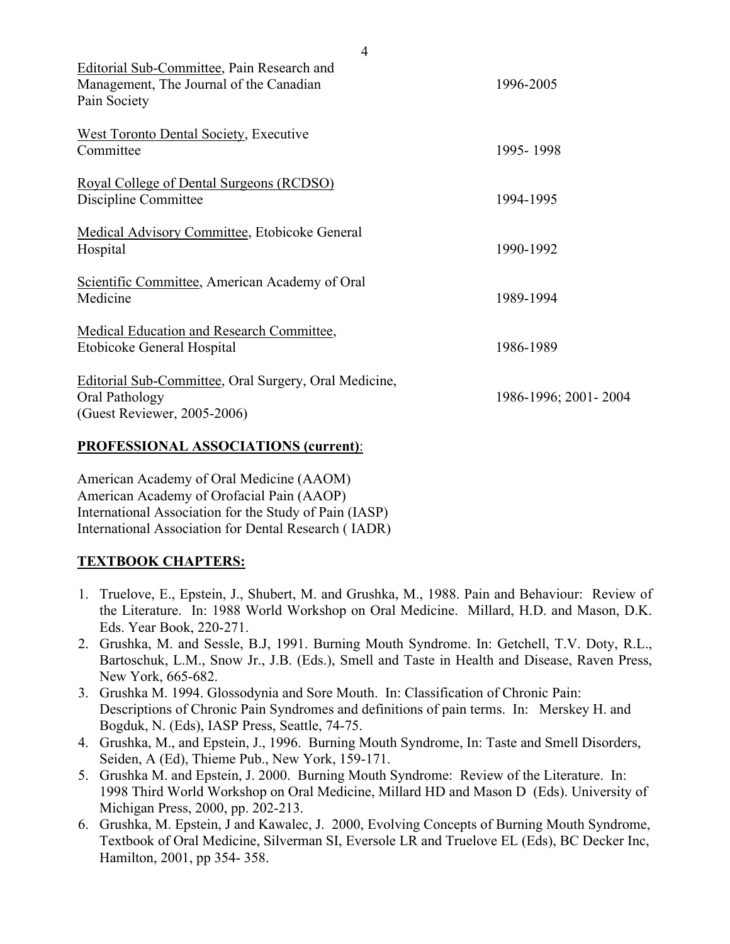| Editorial Sub-Committee, Pain Research and<br>Management, The Journal of the Canadian<br>Pain Society  | 1996-2005            |
|--------------------------------------------------------------------------------------------------------|----------------------|
| <b>West Toronto Dental Society, Executive</b><br>Committee                                             | 1995-1998            |
| Royal College of Dental Surgeons (RCDSO)<br>Discipline Committee                                       | 1994-1995            |
| Medical Advisory Committee, Etobicoke General<br>Hospital                                              | 1990-1992            |
| Scientific Committee, American Academy of Oral<br>Medicine                                             | 1989-1994            |
| Medical Education and Research Committee,<br>Etobicoke General Hospital                                | 1986-1989            |
| Editorial Sub-Committee, Oral Surgery, Oral Medicine,<br>Oral Pathology<br>(Guest Reviewer, 2005-2006) | 1986-1996; 2001-2004 |

#### **PROFESSIONAL ASSOCIATIONS (current)**:

American Academy of Oral Medicine (AAOM) American Academy of Orofacial Pain (AAOP) International Association for the Study of Pain (IASP) International Association for Dental Research ( IADR)

### **TEXTBOOK CHAPTERS:**

- 1. Truelove, E., Epstein, J., Shubert, M. and Grushka, M., 1988. Pain and Behaviour: Review of the Literature. In: 1988 World Workshop on Oral Medicine. Millard, H.D. and Mason, D.K. Eds. Year Book, 220-271.
- 2. Grushka, M. and Sessle, B.J, 1991. Burning Mouth Syndrome. In: Getchell, T.V. Doty, R.L., Bartoschuk, L.M., Snow Jr., J.B. (Eds.), Smell and Taste in Health and Disease, Raven Press, New York, 665-682.
- 3. Grushka M. 1994. Glossodynia and Sore Mouth. In: Classification of Chronic Pain: Descriptions of Chronic Pain Syndromes and definitions of pain terms. In: Merskey H. and Bogduk, N. (Eds), IASP Press, Seattle, 74-75.
- 4. Grushka, M., and Epstein, J., 1996. Burning Mouth Syndrome, In: Taste and Smell Disorders, Seiden, A (Ed), Thieme Pub., New York, 159-171.
- 5. Grushka M. and Epstein, J. 2000. Burning Mouth Syndrome: Review of the Literature. In: 1998 Third World Workshop on Oral Medicine, Millard HD and Mason D (Eds). University of Michigan Press, 2000, pp. 202-213.
- 6. Grushka, M. Epstein, J and Kawalec, J. 2000, Evolving Concepts of Burning Mouth Syndrome, Textbook of Oral Medicine, Silverman SI, Eversole LR and Truelove EL (Eds), BC Decker Inc, Hamilton, 2001, pp 354- 358.

4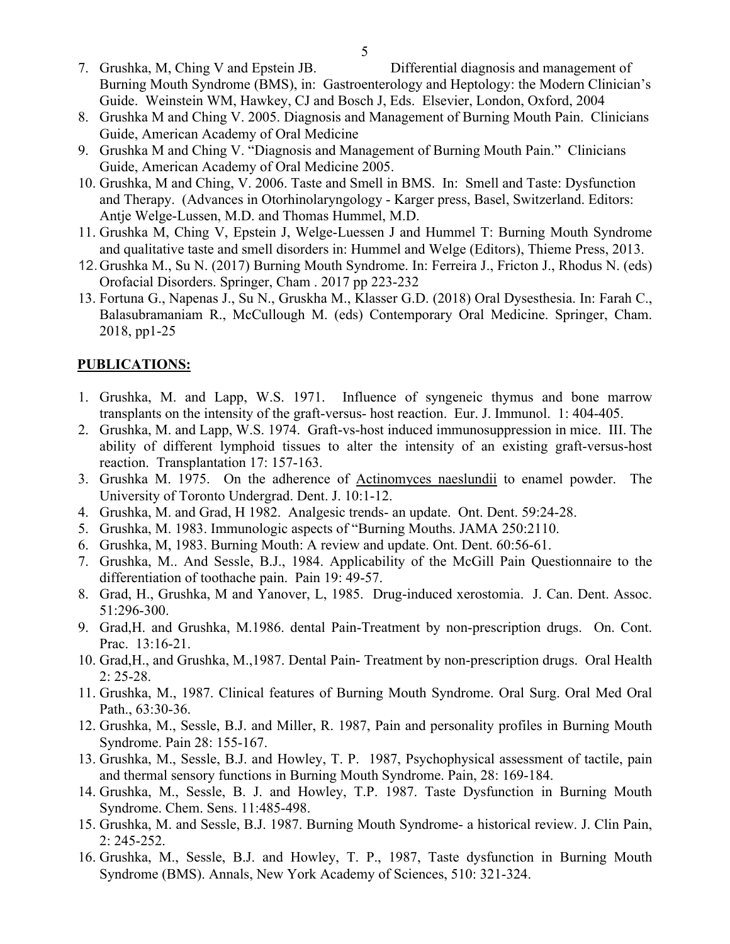- 7. Grushka, M, Ching V and Epstein JB. Differential diagnosis and management of Burning Mouth Syndrome (BMS), in: Gastroenterology and Heptology: the Modern Clinician's Guide. Weinstein WM, Hawkey, CJ and Bosch J, Eds. Elsevier, London, Oxford, 2004
- 8. Grushka M and Ching V. 2005. Diagnosis and Management of Burning Mouth Pain. Clinicians Guide, American Academy of Oral Medicine
- 9. Grushka M and Ching V. "Diagnosis and Management of Burning Mouth Pain." Clinicians Guide, American Academy of Oral Medicine 2005.
- 10. Grushka, M and Ching, V. 2006. Taste and Smell in BMS. In: Smell and Taste: Dysfunction and Therapy. (Advances in Otorhinolaryngology - Karger press, Basel, Switzerland. Editors: Antje Welge-Lussen, M.D. and Thomas Hummel, M.D.
- 11. Grushka M, Ching V, Epstein J, Welge-Luessen J and Hummel T: Burning Mouth Syndrome and qualitative taste and smell disorders in: Hummel and Welge (Editors), Thieme Press, 2013.
- 12.Grushka M., Su N. (2017) Burning Mouth Syndrome. In: Ferreira J., Fricton J., Rhodus N. (eds) Orofacial Disorders. Springer, Cham . 2017 pp 223-232
- 13. Fortuna G., Napenas J., Su N., Gruskha M., Klasser G.D. (2018) Oral Dysesthesia. In: Farah C., Balasubramaniam R., McCullough M. (eds) Contemporary Oral Medicine. Springer, Cham. 2018, pp1-25

### **PUBLICATIONS:**

- 1. Grushka, M. and Lapp, W.S. 1971. Influence of syngeneic thymus and bone marrow transplants on the intensity of the graft-versus- host reaction. Eur. J. Immunol. 1: 404-405.
- 2. Grushka, M. and Lapp, W.S. 1974. Graft-vs-host induced immunosuppression in mice. III. The ability of different lymphoid tissues to alter the intensity of an existing graft-versus-host reaction. Transplantation 17: 157-163.
- 3. Grushka M. 1975. On the adherence of Actinomyces naeslundii to enamel powder. The University of Toronto Undergrad. Dent. J. 10:1-12.
- 4. Grushka, M. and Grad, H 1982. Analgesic trends- an update. Ont. Dent. 59:24-28.
- 5. Grushka, M. 1983. Immunologic aspects of "Burning Mouths. JAMA 250:2110.
- 6. Grushka, M, 1983. Burning Mouth: A review and update. Ont. Dent. 60:56-61.
- 7. Grushka, M.. And Sessle, B.J., 1984. Applicability of the McGill Pain Questionnaire to the differentiation of toothache pain. Pain 19: 49-57.
- 8. Grad, H., Grushka, M and Yanover, L, 1985. Drug-induced xerostomia. J. Can. Dent. Assoc. 51:296-300.
- 9. Grad,H. and Grushka, M.1986. dental Pain-Treatment by non-prescription drugs. On. Cont. Prac. 13:16-21.
- 10. Grad,H., and Grushka, M.,1987. Dental Pain- Treatment by non-prescription drugs. Oral Health 2: 25-28.
- 11. Grushka, M., 1987. Clinical features of Burning Mouth Syndrome. Oral Surg. Oral Med Oral Path., 63:30-36.
- 12. Grushka, M., Sessle, B.J. and Miller, R. 1987, Pain and personality profiles in Burning Mouth Syndrome. Pain 28: 155-167.
- 13. Grushka, M., Sessle, B.J. and Howley, T. P. 1987, Psychophysical assessment of tactile, pain and thermal sensory functions in Burning Mouth Syndrome. Pain, 28: 169-184.
- 14. Grushka, M., Sessle, B. J. and Howley, T.P. 1987. Taste Dysfunction in Burning Mouth Syndrome. Chem. Sens. 11:485-498.
- 15. Grushka, M. and Sessle, B.J. 1987. Burning Mouth Syndrome- a historical review. J. Clin Pain, 2: 245-252.
- 16. Grushka, M., Sessle, B.J. and Howley, T. P., 1987, Taste dysfunction in Burning Mouth Syndrome (BMS). Annals, New York Academy of Sciences, 510: 321-324.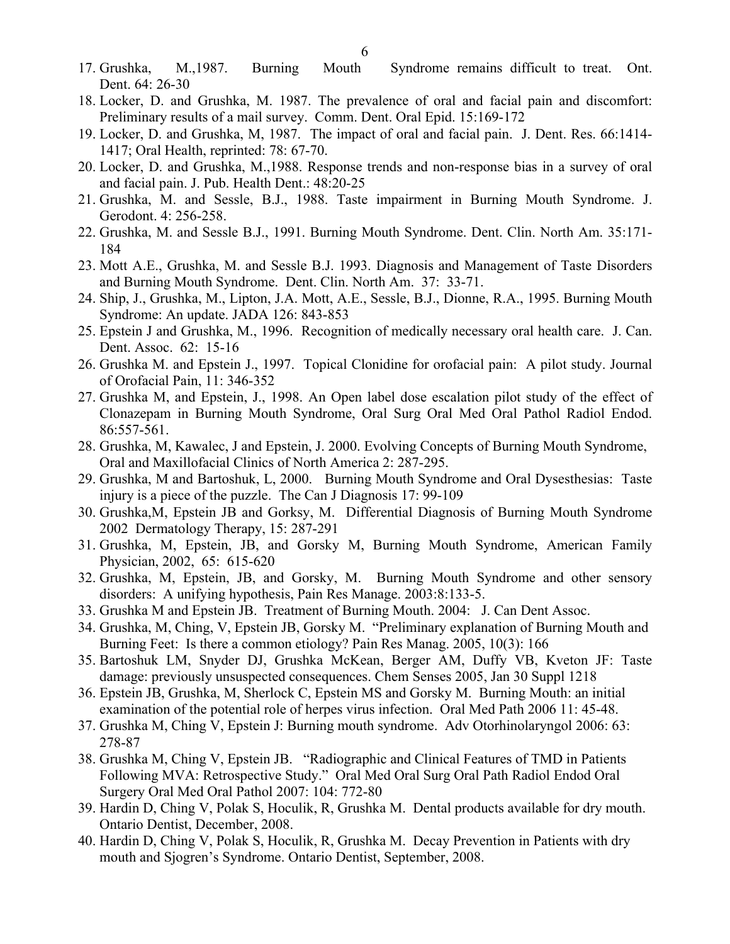- 17. Grushka, M.,1987. Burning Mouth Syndrome remains difficult to treat. Ont. Dent. 64: 26-30
- 18. Locker, D. and Grushka, M. 1987. The prevalence of oral and facial pain and discomfort: Preliminary results of a mail survey. Comm. Dent. Oral Epid. 15:169-172
- 19. Locker, D. and Grushka, M, 1987. The impact of oral and facial pain. J. Dent. Res. 66:1414- 1417; Oral Health, reprinted: 78: 67-70.
- 20. Locker, D. and Grushka, M.,1988. Response trends and non-response bias in a survey of oral and facial pain. J. Pub. Health Dent.: 48:20-25
- 21. Grushka, M. and Sessle, B.J., 1988. Taste impairment in Burning Mouth Syndrome. J. Gerodont. 4: 256-258.
- 22. Grushka, M. and Sessle B.J., 1991. Burning Mouth Syndrome. Dent. Clin. North Am. 35:171- 184
- 23. Mott A.E., Grushka, M. and Sessle B.J. 1993. Diagnosis and Management of Taste Disorders and Burning Mouth Syndrome. Dent. Clin. North Am. 37: 33-71.
- 24. Ship, J., Grushka, M., Lipton, J.A. Mott, A.E., Sessle, B.J., Dionne, R.A., 1995. Burning Mouth Syndrome: An update. JADA 126: 843-853
- 25. Epstein J and Grushka, M., 1996. Recognition of medically necessary oral health care. J. Can. Dent. Assoc. 62: 15-16
- 26. Grushka M. and Epstein J., 1997. Topical Clonidine for orofacial pain: A pilot study. Journal of Orofacial Pain, 11: 346-352
- 27. Grushka M, and Epstein, J., 1998. An Open label dose escalation pilot study of the effect of Clonazepam in Burning Mouth Syndrome, Oral Surg Oral Med Oral Pathol Radiol Endod. 86:557-561.
- 28. Grushka, M, Kawalec, J and Epstein, J. 2000. Evolving Concepts of Burning Mouth Syndrome, Oral and Maxillofacial Clinics of North America 2: 287-295.
- 29. Grushka, M and Bartoshuk, L, 2000. Burning Mouth Syndrome and Oral Dysesthesias: Taste injury is a piece of the puzzle. The Can J Diagnosis 17: 99-109
- 30. Grushka,M, Epstein JB and Gorksy, M. Differential Diagnosis of Burning Mouth Syndrome 2002 Dermatology Therapy, 15: 287-291
- 31. Grushka, M, Epstein, JB, and Gorsky M, Burning Mouth Syndrome, American Family Physician, 2002, 65: 615-620
- 32. Grushka, M, Epstein, JB, and Gorsky, M. Burning Mouth Syndrome and other sensory disorders: A unifying hypothesis, Pain Res Manage. 2003:8:133-5.
- 33. Grushka M and Epstein JB. Treatment of Burning Mouth. 2004: J. Can Dent Assoc.
- 34. Grushka, M, Ching, V, Epstein JB, Gorsky M. "Preliminary explanation of Burning Mouth and Burning Feet: Is there a common etiology? Pain Res Manag. 2005, 10(3): 166
- 35. Bartoshuk LM, Snyder DJ, Grushka McKean, Berger AM, Duffy VB, Kveton JF: Taste damage: previously unsuspected consequences. Chem Senses 2005, Jan 30 Suppl 1218
- 36. Epstein JB, Grushka, M, Sherlock C, Epstein MS and Gorsky M. Burning Mouth: an initial examination of the potential role of herpes virus infection. Oral Med Path 2006 11: 45-48.
- 37. Grushka M, Ching V, Epstein J: Burning mouth syndrome. Adv Otorhinolaryngol 2006: 63: 278-87
- 38. Grushka M, Ching V, Epstein JB. "Radiographic and Clinical Features of TMD in Patients Following MVA: Retrospective Study." Oral Med Oral Surg Oral Path Radiol Endod Oral Surgery Oral Med Oral Pathol 2007: 104: 772-80
- 39. Hardin D, Ching V, Polak S, Hoculik, R, Grushka M. Dental products available for dry mouth. Ontario Dentist, December, 2008.
- 40. Hardin D, Ching V, Polak S, Hoculik, R, Grushka M. Decay Prevention in Patients with dry mouth and Sjogren's Syndrome. Ontario Dentist, September, 2008.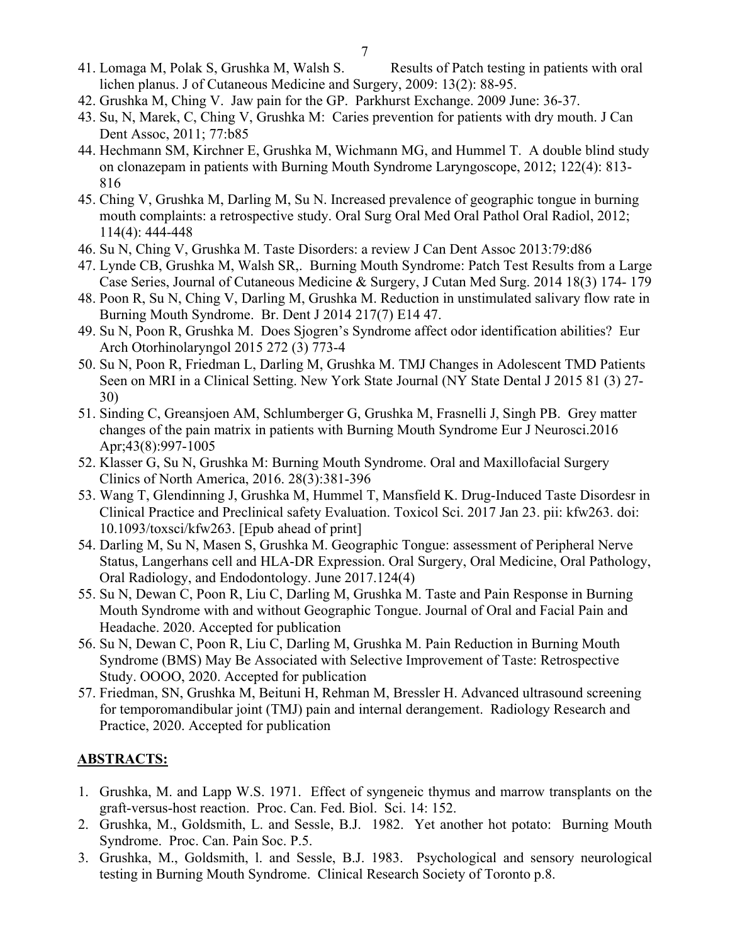- 41. Lomaga M, Polak S, Grushka M, Walsh S. Results of Patch testing in patients with oral lichen planus. J of Cutaneous Medicine and Surgery, 2009: 13(2): 88-95.
- 42. Grushka M, Ching V. Jaw pain for the GP. Parkhurst Exchange. 2009 June: 36-37.
- 43. Su, N, Marek, C, Ching V, Grushka M: Caries prevention for patients with dry mouth. J Can Dent Assoc, 2011; 77:b85
- 44. Hechmann SM, Kirchner E, Grushka M, Wichmann MG, and Hummel T. A double blind study on clonazepam in patients with Burning Mouth Syndrome Laryngoscope, 2012; 122(4): 813- 816
- 45. Ching V, Grushka M, Darling M, Su N. Increased prevalence of geographic tongue in burning mouth complaints: a retrospective study. Oral Surg Oral Med Oral Pathol Oral Radiol, 2012; 114(4): 444-448
- 46. Su N, Ching V, Grushka M. Taste Disorders: a review J Can Dent Assoc 2013:79:d86
- 47. Lynde CB, Grushka M, Walsh SR,. Burning Mouth Syndrome: Patch Test Results from a Large Case Series, Journal of Cutaneous Medicine & Surgery, J Cutan Med Surg. 2014 18(3) 174- 179
- 48. Poon R, Su N, Ching V, Darling M, Grushka M. Reduction in unstimulated salivary flow rate in Burning Mouth Syndrome. Br. Dent J 2014 217(7) E14 47.
- 49. Su N, Poon R, Grushka M. Does Sjogren's Syndrome affect odor identification abilities? Eur Arch Otorhinolaryngol 2015 272 (3) 773-4
- 50. Su N, Poon R, Friedman L, Darling M, Grushka M. TMJ Changes in Adolescent TMD Patients Seen on MRI in a Clinical Setting. New York State Journal (NY State Dental J 2015 81 (3) 27- 30)
- 51. Sinding C, Greansjoen AM, Schlumberger G, Grushka M, Frasnelli J, Singh PB. Grey matter changes of the pain matrix in patients with Burning Mouth Syndrome Eur J Neurosci.2016 Apr;43(8):997-1005
- 52. Klasser G, Su N, Grushka M: Burning Mouth Syndrome. Oral and Maxillofacial Surgery Clinics of North America, 2016. 28(3):381-396
- 53. Wang T, Glendinning J, Grushka M, Hummel T, Mansfield K. Drug-Induced Taste Disordesr in Clinical Practice and Preclinical safety Evaluation. Toxicol Sci. 2017 Jan 23. pii: kfw263. doi: 10.1093/toxsci/kfw263. [Epub ahead of print]
- 54. Darling M, Su N, Masen S, Grushka M. Geographic Tongue: assessment of Peripheral Nerve Status, Langerhans cell and HLA-DR Expression. [Oral Surgery, Oral Medicine, Oral Pathology,](https://www.researchgate.net/journal/1528-395X_Oral_Surgery_Oral_Medicine_Oral_Pathology_Oral_Radiology_and_Endodontology)  [Oral Radiology, and Endodontology.](https://www.researchgate.net/journal/1528-395X_Oral_Surgery_Oral_Medicine_Oral_Pathology_Oral_Radiology_and_Endodontology) June 2017.124(4)
- 55. Su N, Dewan C, Poon R, Liu C, Darling M, Grushka M. Taste and Pain Response in Burning Mouth Syndrome with and without Geographic Tongue. Journal of Oral and Facial Pain and Headache. 2020. Accepted for publication
- 56. Su N, Dewan C, Poon R, Liu C, Darling M, Grushka M. Pain Reduction in Burning Mouth Syndrome (BMS) May Be Associated with Selective Improvement of Taste: Retrospective Study. OOOO, 2020. Accepted for publication
- 57. Friedman, SN, Grushka M, Beituni H, Rehman M, Bressler H. Advanced ultrasound screening for temporomandibular joint (TMJ) pain and internal derangement. Radiology Research and Practice, 2020. Accepted for publication

## **ABSTRACTS:**

- 1. Grushka, M. and Lapp W.S. 1971. Effect of syngeneic thymus and marrow transplants on the graft-versus-host reaction. Proc. Can. Fed. Biol. Sci. 14: 152.
- 2. Grushka, M., Goldsmith, L. and Sessle, B.J. 1982. Yet another hot potato: Burning Mouth Syndrome. Proc. Can. Pain Soc. P.5.
- 3. Grushka, M., Goldsmith, l. and Sessle, B.J. 1983. Psychological and sensory neurological testing in Burning Mouth Syndrome. Clinical Research Society of Toronto p.8.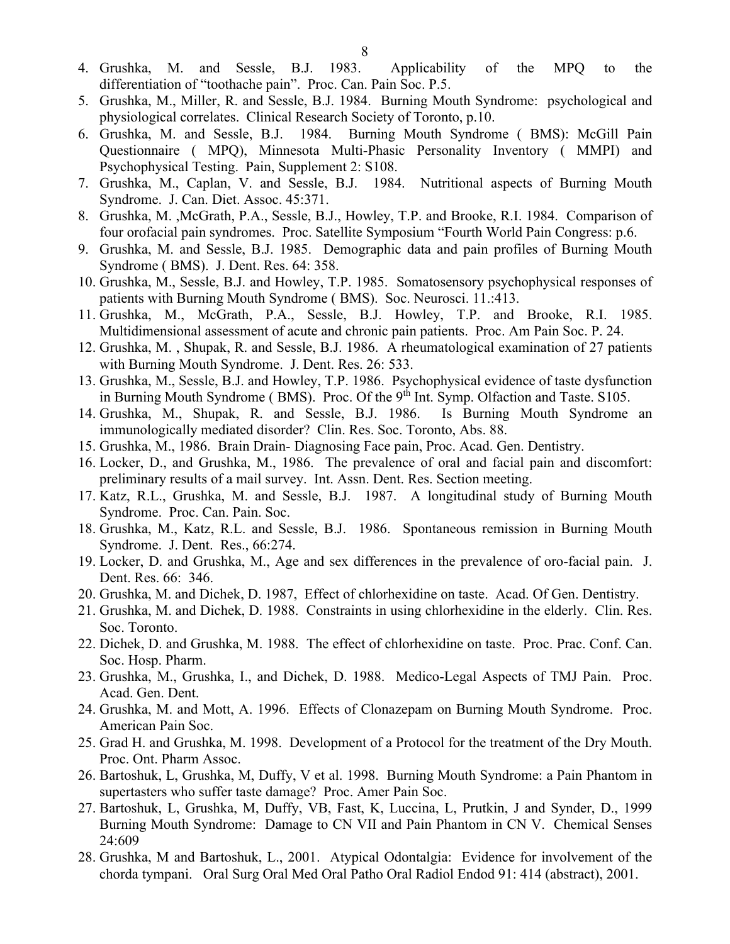- 4. Grushka, M. and Sessle, B.J. 1983. Applicability of the MPQ to the differentiation of "toothache pain". Proc. Can. Pain Soc. P.5.
- 5. Grushka, M., Miller, R. and Sessle, B.J. 1984. Burning Mouth Syndrome: psychological and physiological correlates. Clinical Research Society of Toronto, p.10.
- 6. Grushka, M. and Sessle, B.J. 1984. Burning Mouth Syndrome ( BMS): McGill Pain Questionnaire ( MPQ), Minnesota Multi-Phasic Personality Inventory ( MMPI) and Psychophysical Testing. Pain, Supplement 2: S108.
- 7. Grushka, M., Caplan, V. and Sessle, B.J. 1984. Nutritional aspects of Burning Mouth Syndrome. J. Can. Diet. Assoc. 45:371.
- 8. Grushka, M. ,McGrath, P.A., Sessle, B.J., Howley, T.P. and Brooke, R.I. 1984. Comparison of four orofacial pain syndromes. Proc. Satellite Symposium "Fourth World Pain Congress: p.6.
- 9. Grushka, M. and Sessle, B.J. 1985. Demographic data and pain profiles of Burning Mouth Syndrome ( BMS). J. Dent. Res. 64: 358.
- 10. Grushka, M., Sessle, B.J. and Howley, T.P. 1985. Somatosensory psychophysical responses of patients with Burning Mouth Syndrome ( BMS). Soc. Neurosci. 11.:413.
- 11. Grushka, M., McGrath, P.A., Sessle, B.J. Howley, T.P. and Brooke, R.I. 1985. Multidimensional assessment of acute and chronic pain patients. Proc. Am Pain Soc. P. 24.
- 12. Grushka, M. , Shupak, R. and Sessle, B.J. 1986. A rheumatological examination of 27 patients with Burning Mouth Syndrome. J. Dent. Res. 26: 533.
- 13. Grushka, M., Sessle, B.J. and Howley, T.P. 1986. Psychophysical evidence of taste dysfunction in Burning Mouth Syndrome (BMS). Proc. Of the 9<sup>th</sup> Int. Symp. Olfaction and Taste. S105.
- 14. Grushka, M., Shupak, R. and Sessle, B.J. 1986. Is Burning Mouth Syndrome an immunologically mediated disorder? Clin. Res. Soc. Toronto, Abs. 88.
- 15. Grushka, M., 1986. Brain Drain- Diagnosing Face pain, Proc. Acad. Gen. Dentistry.
- 16. Locker, D., and Grushka, M., 1986. The prevalence of oral and facial pain and discomfort: preliminary results of a mail survey. Int. Assn. Dent. Res. Section meeting.
- 17. Katz, R.L., Grushka, M. and Sessle, B.J. 1987. A longitudinal study of Burning Mouth Syndrome. Proc. Can. Pain. Soc.
- 18. Grushka, M., Katz, R.L. and Sessle, B.J. 1986. Spontaneous remission in Burning Mouth Syndrome. J. Dent. Res., 66:274.
- 19. Locker, D. and Grushka, M., Age and sex differences in the prevalence of oro-facial pain. J. Dent. Res. 66: 346.
- 20. Grushka, M. and Dichek, D. 1987, Effect of chlorhexidine on taste. Acad. Of Gen. Dentistry.
- 21. Grushka, M. and Dichek, D. 1988. Constraints in using chlorhexidine in the elderly. Clin. Res. Soc. Toronto.
- 22. Dichek, D. and Grushka, M. 1988. The effect of chlorhexidine on taste. Proc. Prac. Conf. Can. Soc. Hosp. Pharm.
- 23. Grushka, M., Grushka, I., and Dichek, D. 1988. Medico-Legal Aspects of TMJ Pain. Proc. Acad. Gen. Dent.
- 24. Grushka, M. and Mott, A. 1996. Effects of Clonazepam on Burning Mouth Syndrome. Proc. American Pain Soc.
- 25. Grad H. and Grushka, M. 1998. Development of a Protocol for the treatment of the Dry Mouth. Proc. Ont. Pharm Assoc.
- 26. Bartoshuk, L, Grushka, M, Duffy, V et al. 1998. Burning Mouth Syndrome: a Pain Phantom in supertasters who suffer taste damage? Proc. Amer Pain Soc.
- 27. Bartoshuk, L, Grushka, M, Duffy, VB, Fast, K, Luccina, L, Prutkin, J and Synder, D., 1999 Burning Mouth Syndrome: Damage to CN VII and Pain Phantom in CN V. Chemical Senses 24:609
- 28. Grushka, M and Bartoshuk, L., 2001. Atypical Odontalgia: Evidence for involvement of the chorda tympani. Oral Surg Oral Med Oral Patho Oral Radiol Endod 91: 414 (abstract), 2001.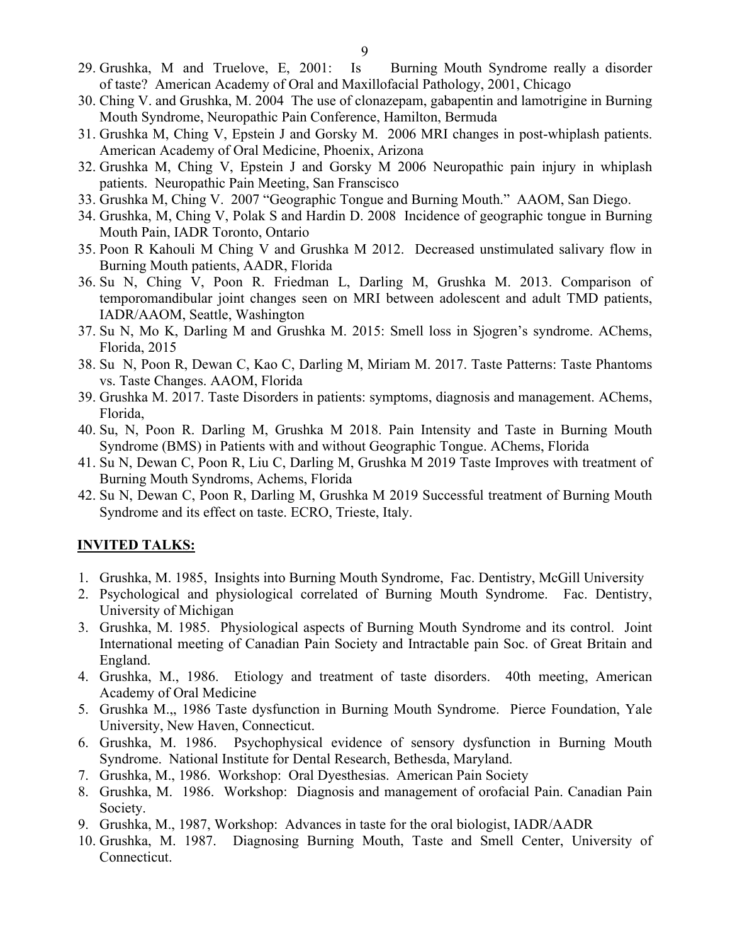- 30. Ching V. and Grushka, M. 2004 The use of clonazepam, gabapentin and lamotrigine in Burning Mouth Syndrome, Neuropathic Pain Conference, Hamilton, Bermuda
- 31. Grushka M, Ching V, Epstein J and Gorsky M. 2006 MRI changes in post-whiplash patients. American Academy of Oral Medicine, Phoenix, Arizona
- 32. Grushka M, Ching V, Epstein J and Gorsky M 2006 Neuropathic pain injury in whiplash patients. Neuropathic Pain Meeting, San Franscisco
- 33. Grushka M, Ching V. 2007 "Geographic Tongue and Burning Mouth." AAOM, San Diego.
- 34. Grushka, M, Ching V, Polak S and Hardin D. 2008 Incidence of geographic tongue in Burning Mouth Pain, IADR Toronto, Ontario
- 35. Poon R Kahouli M Ching V and Grushka M 2012. Decreased unstimulated salivary flow in Burning Mouth patients, AADR, Florida
- 36. Su N, Ching V, Poon R. Friedman L, Darling M, Grushka M. 2013. Comparison of temporomandibular joint changes seen on MRI between adolescent and adult TMD patients, IADR/AAOM, Seattle, Washington
- 37. Su N, Mo K, Darling M and Grushka M. 2015: Smell loss in Sjogren's syndrome. AChems, Florida, 2015
- 38. Su N, Poon R, Dewan C, Kao C, Darling M, Miriam M. 2017. Taste Patterns: Taste Phantoms vs. Taste Changes. AAOM, Florida
- 39. Grushka M. 2017. Taste Disorders in patients: symptoms, diagnosis and management. AChems, Florida,
- 40. Su, N, Poon R. Darling M, Grushka M 2018. Pain Intensity and Taste in Burning Mouth Syndrome (BMS) in Patients with and without Geographic Tongue. AChems, Florida
- 41. Su N, Dewan C, Poon R, Liu C, Darling M, Grushka M 2019 Taste Improves with treatment of Burning Mouth Syndroms, Achems, Florida
- 42. Su N, Dewan C, Poon R, Darling M, Grushka M 2019 Successful treatment of Burning Mouth Syndrome and its effect on taste. ECRO, Trieste, Italy.

## **INVITED TALKS:**

- 1. Grushka, M. 1985, Insights into Burning Mouth Syndrome, Fac. Dentistry, McGill University
- 2. Psychological and physiological correlated of Burning Mouth Syndrome. Fac. Dentistry, University of Michigan
- 3. Grushka, M. 1985. Physiological aspects of Burning Mouth Syndrome and its control. Joint International meeting of Canadian Pain Society and Intractable pain Soc. of Great Britain and England.
- 4. Grushka, M., 1986. Etiology and treatment of taste disorders. 40th meeting, American Academy of Oral Medicine
- 5. Grushka M.,, 1986 Taste dysfunction in Burning Mouth Syndrome. Pierce Foundation, Yale University, New Haven, Connecticut.
- 6. Grushka, M. 1986. Psychophysical evidence of sensory dysfunction in Burning Mouth Syndrome. National Institute for Dental Research, Bethesda, Maryland.
- 7. Grushka, M., 1986. Workshop: Oral Dyesthesias. American Pain Society
- 8. Grushka, M. 1986. Workshop: Diagnosis and management of orofacial Pain. Canadian Pain Society.
- 9. Grushka, M., 1987, Workshop: Advances in taste for the oral biologist, IADR/AADR
- 10. Grushka, M. 1987. Diagnosing Burning Mouth, Taste and Smell Center, University of Connecticut.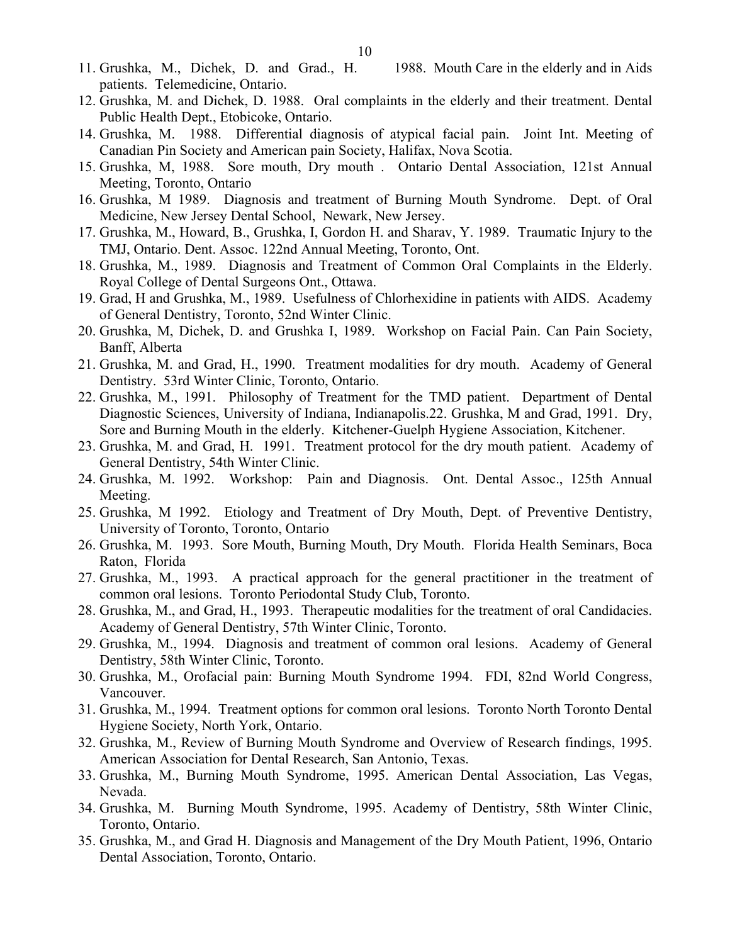- 11. Grushka, M., Dichek, D. and Grad., H. 1988. Mouth Care in the elderly and in Aids patients. Telemedicine, Ontario.
- 12. Grushka, M. and Dichek, D. 1988. Oral complaints in the elderly and their treatment. Dental Public Health Dept., Etobicoke, Ontario.
- 14. Grushka, M. 1988. Differential diagnosis of atypical facial pain. Joint Int. Meeting of Canadian Pin Society and American pain Society, Halifax, Nova Scotia.
- 15. Grushka, M, 1988. Sore mouth, Dry mouth . Ontario Dental Association, 121st Annual Meeting, Toronto, Ontario
- 16. Grushka, M 1989. Diagnosis and treatment of Burning Mouth Syndrome. Dept. of Oral Medicine, New Jersey Dental School, Newark, New Jersey.
- 17. Grushka, M., Howard, B., Grushka, I, Gordon H. and Sharav, Y. 1989. Traumatic Injury to the TMJ, Ontario. Dent. Assoc. 122nd Annual Meeting, Toronto, Ont.
- 18. Grushka, M., 1989. Diagnosis and Treatment of Common Oral Complaints in the Elderly. Royal College of Dental Surgeons Ont., Ottawa.
- 19. Grad, H and Grushka, M., 1989. Usefulness of Chlorhexidine in patients with AIDS. Academy of General Dentistry, Toronto, 52nd Winter Clinic.
- 20. Grushka, M, Dichek, D. and Grushka I, 1989. Workshop on Facial Pain. Can Pain Society, Banff, Alberta
- 21. Grushka, M. and Grad, H., 1990. Treatment modalities for dry mouth. Academy of General Dentistry. 53rd Winter Clinic, Toronto, Ontario.
- 22. Grushka, M., 1991. Philosophy of Treatment for the TMD patient. Department of Dental Diagnostic Sciences, University of Indiana, Indianapolis.22. Grushka, M and Grad, 1991. Dry, Sore and Burning Mouth in the elderly. Kitchener-Guelph Hygiene Association, Kitchener.
- 23. Grushka, M. and Grad, H. 1991. Treatment protocol for the dry mouth patient. Academy of General Dentistry, 54th Winter Clinic.
- 24. Grushka, M. 1992. Workshop: Pain and Diagnosis. Ont. Dental Assoc., 125th Annual Meeting.
- 25. Grushka, M 1992. Etiology and Treatment of Dry Mouth, Dept. of Preventive Dentistry, University of Toronto, Toronto, Ontario
- 26. Grushka, M. 1993. Sore Mouth, Burning Mouth, Dry Mouth. Florida Health Seminars, Boca Raton, Florida
- 27. Grushka, M., 1993. A practical approach for the general practitioner in the treatment of common oral lesions. Toronto Periodontal Study Club, Toronto.
- 28. Grushka, M., and Grad, H., 1993. Therapeutic modalities for the treatment of oral Candidacies. Academy of General Dentistry, 57th Winter Clinic, Toronto.
- 29. Grushka, M., 1994. Diagnosis and treatment of common oral lesions. Academy of General Dentistry, 58th Winter Clinic, Toronto.
- 30. Grushka, M., Orofacial pain: Burning Mouth Syndrome 1994. FDI, 82nd World Congress, Vancouver.
- 31. Grushka, M., 1994. Treatment options for common oral lesions. Toronto North Toronto Dental Hygiene Society, North York, Ontario.
- 32. Grushka, M., Review of Burning Mouth Syndrome and Overview of Research findings, 1995. American Association for Dental Research, San Antonio, Texas.
- 33. Grushka, M., Burning Mouth Syndrome, 1995. American Dental Association, Las Vegas, Nevada.
- 34. Grushka, M. Burning Mouth Syndrome, 1995. Academy of Dentistry, 58th Winter Clinic, Toronto, Ontario.
- 35. Grushka, M., and Grad H. Diagnosis and Management of the Dry Mouth Patient, 1996, Ontario Dental Association, Toronto, Ontario.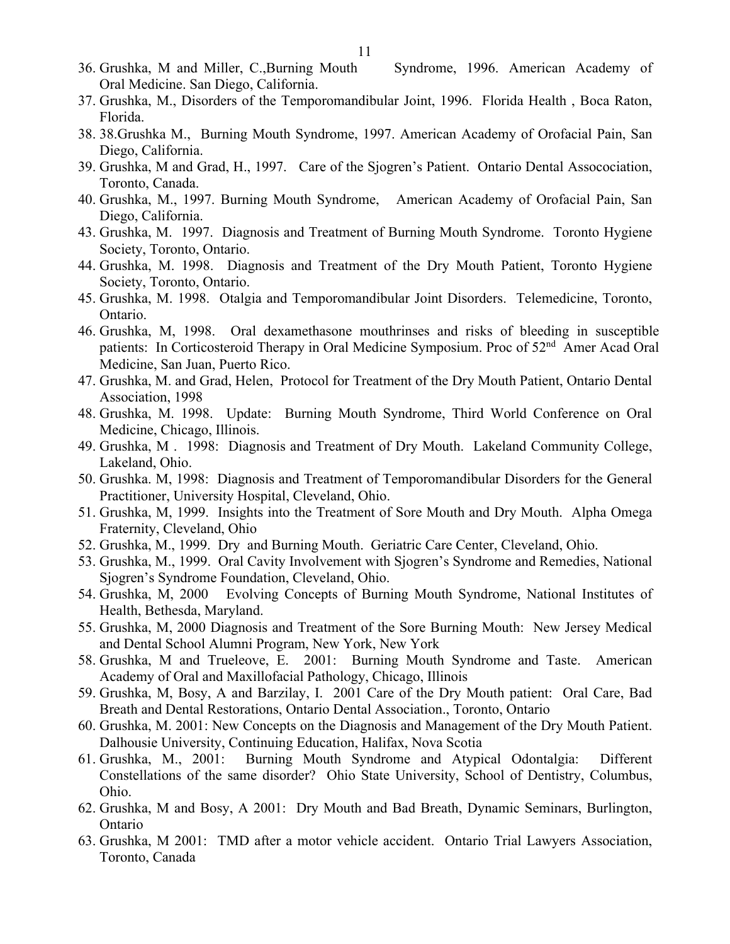- 36. Grushka, M and Miller, C.,Burning Mouth Syndrome, 1996. American Academy of Oral Medicine. San Diego, California.
- 37. Grushka, M., Disorders of the Temporomandibular Joint, 1996. Florida Health , Boca Raton, Florida.
- 38. 38.Grushka M., Burning Mouth Syndrome, 1997. American Academy of Orofacial Pain, San Diego, California.
- 39. Grushka, M and Grad, H., 1997. Care of the Sjogren's Patient. Ontario Dental Assocociation, Toronto, Canada.
- 40. Grushka, M., 1997. Burning Mouth Syndrome, American Academy of Orofacial Pain, San Diego, California.
- 43. Grushka, M. 1997. Diagnosis and Treatment of Burning Mouth Syndrome. Toronto Hygiene Society, Toronto, Ontario.
- 44. Grushka, M. 1998. Diagnosis and Treatment of the Dry Mouth Patient, Toronto Hygiene Society, Toronto, Ontario.
- 45. Grushka, M. 1998. Otalgia and Temporomandibular Joint Disorders. Telemedicine, Toronto, Ontario.
- 46. Grushka, M, 1998. Oral dexamethasone mouthrinses and risks of bleeding in susceptible patients: In Corticosteroid Therapy in Oral Medicine Symposium. Proc of 52<sup>nd</sup> Amer Acad Oral Medicine, San Juan, Puerto Rico.
- 47. Grushka, M. and Grad, Helen, Protocol for Treatment of the Dry Mouth Patient, Ontario Dental Association, 1998
- 48. Grushka, M. 1998. Update: Burning Mouth Syndrome, Third World Conference on Oral Medicine, Chicago, Illinois.
- 49. Grushka, M . 1998: Diagnosis and Treatment of Dry Mouth. Lakeland Community College, Lakeland, Ohio.
- 50. Grushka. M, 1998: Diagnosis and Treatment of Temporomandibular Disorders for the General Practitioner, University Hospital, Cleveland, Ohio.
- 51. Grushka, M, 1999. Insights into the Treatment of Sore Mouth and Dry Mouth. Alpha Omega Fraternity, Cleveland, Ohio
- 52. Grushka, M., 1999. Dry and Burning Mouth. Geriatric Care Center, Cleveland, Ohio.
- 53. Grushka, M., 1999. Oral Cavity Involvement with Sjogren's Syndrome and Remedies, National Sjogren's Syndrome Foundation, Cleveland, Ohio.
- 54. Grushka, M, 2000 Evolving Concepts of Burning Mouth Syndrome, National Institutes of Health, Bethesda, Maryland.
- 55. Grushka, M, 2000 Diagnosis and Treatment of the Sore Burning Mouth: New Jersey Medical and Dental School Alumni Program, New York, New York
- 58. Grushka, M and Trueleove, E. 2001: Burning Mouth Syndrome and Taste. American Academy of Oral and Maxillofacial Pathology, Chicago, Illinois
- 59. Grushka, M, Bosy, A and Barzilay, I. 2001 Care of the Dry Mouth patient: Oral Care, Bad Breath and Dental Restorations, Ontario Dental Association., Toronto, Ontario
- 60. Grushka, M. 2001: New Concepts on the Diagnosis and Management of the Dry Mouth Patient. Dalhousie University, Continuing Education, Halifax, Nova Scotia
- 61. Grushka, M., 2001: Burning Mouth Syndrome and Atypical Odontalgia: Different Constellations of the same disorder? Ohio State University, School of Dentistry, Columbus, Ohio.
- 62. Grushka, M and Bosy, A 2001: Dry Mouth and Bad Breath, Dynamic Seminars, Burlington, Ontario
- 63. Grushka, M 2001: TMD after a motor vehicle accident. Ontario Trial Lawyers Association, Toronto, Canada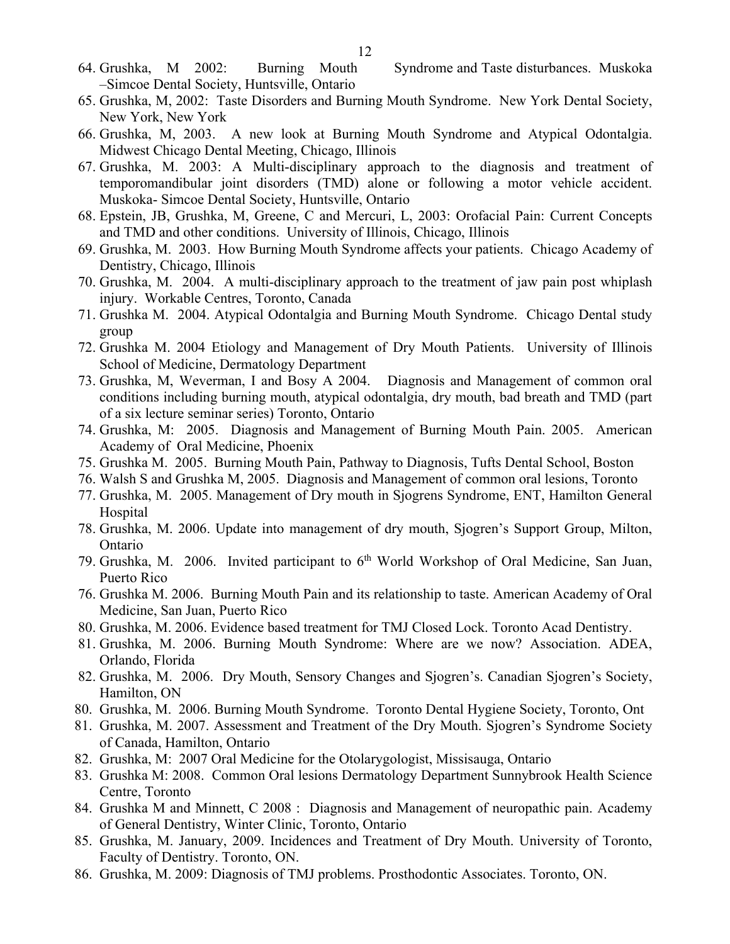- 64. Grushka, M 2002: Burning Mouth Syndrome and Taste disturbances. Muskoka –Simcoe Dental Society, Huntsville, Ontario
- 65. Grushka, M, 2002: Taste Disorders and Burning Mouth Syndrome. New York Dental Society, New York, New York
- 66. Grushka, M, 2003. A new look at Burning Mouth Syndrome and Atypical Odontalgia. Midwest Chicago Dental Meeting, Chicago, Illinois
- 67. Grushka, M. 2003: A Multi-disciplinary approach to the diagnosis and treatment of temporomandibular joint disorders (TMD) alone or following a motor vehicle accident. Muskoka- Simcoe Dental Society, Huntsville, Ontario
- 68. Epstein, JB, Grushka, M, Greene, C and Mercuri, L, 2003: Orofacial Pain: Current Concepts and TMD and other conditions. University of Illinois, Chicago, Illinois
- 69. Grushka, M. 2003. How Burning Mouth Syndrome affects your patients. Chicago Academy of Dentistry, Chicago, Illinois
- 70. Grushka, M. 2004. A multi-disciplinary approach to the treatment of jaw pain post whiplash injury. Workable Centres, Toronto, Canada
- 71. Grushka M. 2004. Atypical Odontalgia and Burning Mouth Syndrome. Chicago Dental study group
- 72. Grushka M. 2004 Etiology and Management of Dry Mouth Patients. University of Illinois School of Medicine, Dermatology Department
- 73. Grushka, M, Weverman, I and Bosy A 2004. Diagnosis and Management of common oral conditions including burning mouth, atypical odontalgia, dry mouth, bad breath and TMD (part of a six lecture seminar series) Toronto, Ontario
- 74. Grushka, M: 2005. Diagnosis and Management of Burning Mouth Pain. 2005. American Academy of Oral Medicine, Phoenix
- 75. Grushka M. 2005. Burning Mouth Pain, Pathway to Diagnosis, Tufts Dental School, Boston
- 76. Walsh S and Grushka M, 2005. Diagnosis and Management of common oral lesions, Toronto
- 77. Grushka, M. 2005. Management of Dry mouth in Sjogrens Syndrome, ENT, Hamilton General Hospital
- 78. Grushka, M. 2006. Update into management of dry mouth, Sjogren's Support Group, Milton, Ontario
- 79. Grushka, M. 2006. Invited participant to 6<sup>th</sup> World Workshop of Oral Medicine, San Juan, Puerto Rico
- 76. Grushka M. 2006. Burning Mouth Pain and its relationship to taste. American Academy of Oral Medicine, San Juan, Puerto Rico
- 80. Grushka, M. 2006. Evidence based treatment for TMJ Closed Lock. Toronto Acad Dentistry.
- 81. Grushka, M. 2006. Burning Mouth Syndrome: Where are we now? Association. ADEA, Orlando, Florida
- 82. Grushka, M. 2006. Dry Mouth, Sensory Changes and Sjogren's. Canadian Sjogren's Society, Hamilton, ON
- 80. Grushka, M. 2006. Burning Mouth Syndrome. Toronto Dental Hygiene Society, Toronto, Ont
- 81. Grushka, M. 2007. Assessment and Treatment of the Dry Mouth. Sjogren's Syndrome Society of Canada, Hamilton, Ontario
- 82. Grushka, M: 2007 Oral Medicine for the Otolarygologist, Missisauga, Ontario
- 83. Grushka M: 2008. Common Oral lesions Dermatology Department Sunnybrook Health Science Centre, Toronto
- 84. Grushka M and Minnett, C 2008 : Diagnosis and Management of neuropathic pain. Academy of General Dentistry, Winter Clinic, Toronto, Ontario
- 85. Grushka, M. January, 2009. Incidences and Treatment of Dry Mouth. University of Toronto, Faculty of Dentistry. Toronto, ON.
- 86. Grushka, M. 2009: Diagnosis of TMJ problems. Prosthodontic Associates. Toronto, ON.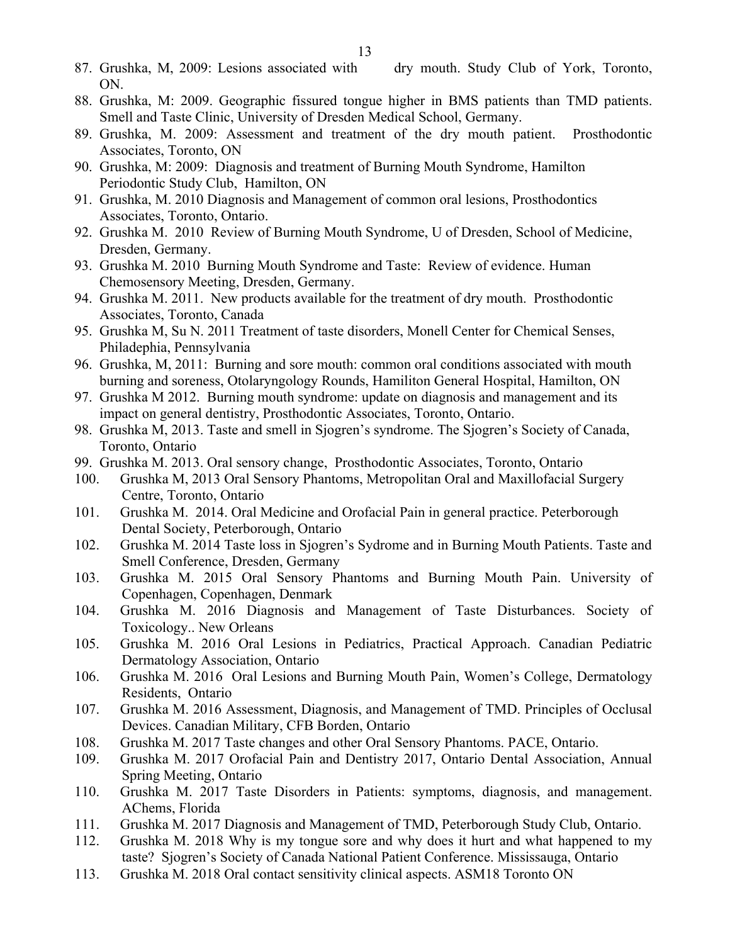- 87. Grushka, M, 2009: Lesions associated with dry mouth. Study Club of York, Toronto, ON.
- 88. Grushka, M: 2009. Geographic fissured tongue higher in BMS patients than TMD patients. Smell and Taste Clinic, University of Dresden Medical School, Germany.
- 89. Grushka, M. 2009: Assessment and treatment of the dry mouth patient. Prosthodontic Associates, Toronto, ON
- 90. Grushka, M: 2009: Diagnosis and treatment of Burning Mouth Syndrome, Hamilton Periodontic Study Club, Hamilton, ON
- 91. Grushka, M. 2010 Diagnosis and Management of common oral lesions, Prosthodontics Associates, Toronto, Ontario.
- 92. Grushka M. 2010 Review of Burning Mouth Syndrome, U of Dresden, School of Medicine, Dresden, Germany.
- 93. Grushka M. 2010 Burning Mouth Syndrome and Taste: Review of evidence. Human Chemosensory Meeting, Dresden, Germany.
- 94. Grushka M. 2011. New products available for the treatment of dry mouth. Prosthodontic Associates, Toronto, Canada
- 95. Grushka M, Su N. 2011 Treatment of taste disorders, Monell Center for Chemical Senses, Philadephia, Pennsylvania
- 96. Grushka, M, 2011: Burning and sore mouth: common oral conditions associated with mouth burning and soreness, Otolaryngology Rounds, Hamiliton General Hospital, Hamilton, ON
- 97. Grushka M 2012. Burning mouth syndrome: update on diagnosis and management and its impact on general dentistry, Prosthodontic Associates, Toronto, Ontario.
- 98. Grushka M, 2013. Taste and smell in Sjogren's syndrome. The Sjogren's Society of Canada, Toronto, Ontario
- 99. Grushka M. 2013. Oral sensory change, Prosthodontic Associates, Toronto, Ontario
- 100. Grushka M, 2013 Oral Sensory Phantoms, Metropolitan Oral and Maxillofacial Surgery Centre, Toronto, Ontario
- 101. Grushka M. 2014. Oral Medicine and Orofacial Pain in general practice. Peterborough Dental Society, Peterborough, Ontario
- 102. Grushka M. 2014 Taste loss in Sjogren's Sydrome and in Burning Mouth Patients. Taste and Smell Conference, Dresden, Germany
- 103. Grushka M. 2015 Oral Sensory Phantoms and Burning Mouth Pain. University of Copenhagen, Copenhagen, Denmark
- 104. Grushka M. 2016 Diagnosis and Management of Taste Disturbances. Society of Toxicology.. New Orleans
- 105. Grushka M. 2016 Oral Lesions in Pediatrics, Practical Approach. Canadian Pediatric Dermatology Association, Ontario
- 106. Grushka M. 2016 Oral Lesions and Burning Mouth Pain, Women's College, Dermatology Residents, Ontario
- 107. Grushka M. 2016 Assessment, Diagnosis, and Management of TMD. Principles of Occlusal Devices. Canadian Military, CFB Borden, Ontario
- 108. Grushka M. 2017 Taste changes and other Oral Sensory Phantoms. PACE, Ontario.
- 109. Grushka M. 2017 Orofacial Pain and Dentistry 2017, Ontario Dental Association, Annual Spring Meeting, Ontario
- 110. Grushka M. 2017 Taste Disorders in Patients: symptoms, diagnosis, and management. AChems, Florida
- 111. Grushka M. 2017 Diagnosis and Management of TMD, Peterborough Study Club, Ontario.
- 112. Grushka M. 2018 Why is my tongue sore and why does it hurt and what happened to my taste? Sjogren's Society of Canada National Patient Conference. Mississauga, Ontario
- 113. Grushka M. 2018 Oral contact sensitivity clinical aspects. ASM18 Toronto ON